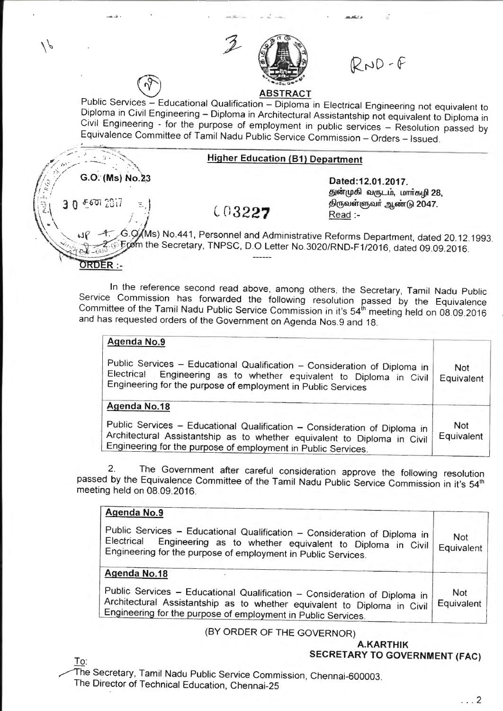

 $RND-F$ 

# Public Services - Educational Qualification - Diploma in Electrical Engineering not equivalent to Diploma in Civil Engineering - Diploma in Architectural Assistantship not equivalent to Diploma in Civil Engineering - for the purpose of employment in public services - Resolution passed by Equivalence Committee of Tamil Nadu Public Service Commission - Orders - Issued.

#### Higher Education (81) Department

(0 3227

Dated:12.01.2017. துன்முகி வருடம், மார்கழி 28, ~®ru6ir®rurr ~mrr® *2041\_*  Read :-

~~\ - */ .* \_ ~! -G .~ Ms) No.441 , Personnel and Administrative Reforms Department, dated 20.12.1993. From the Secretary, TNPSC, D.O Letter No.3020/RND-F1/2016, dated 09.09.2016.

In the reference second read above, among others, the Secretary, Tamil Nadu Public Service Commission has forwarded the following resolution passed by the Equivalence Committee of the Tamil Nadu Public Service Commission in it's 54<sup>th</sup> meeting held on 08.09.2016 and has requested orders of the Government on Agenda Nos.9 and 18.

| <b>Not</b><br>Equivalent |
|--------------------------|
|                          |
| <b>Not</b><br>Equivalent |
|                          |

2. The Government after careful consideration approve the following resolution bassed by the Equivalence Committee of the Tamil Nadu Public Service Commission in it's 54<sup>th</sup> meeting held on 08.09.2016.

# Agenda No.9

Public Services - Educational Qualification - Consideration of Diploma in<br>Electrical - Engineering as to whether equivalent to Diploma in Civil Engineering as to whether equivalent to Diploma in Civil Engineering for the purpose of employment in Public Services. Not **Equivalent** 

# Agenda No.18

 $\overline{\phantom{a}}$ 

......-: - ,.~ . / / - <sup>~</sup>, *:;* . -~ .........

 $30$   $5$  601  $2017$ 

ORDER :-

 $G.O.$  (Ms) No.23

Public Services - Educational Qualification - Consideration of Diploma in Architectural Assistantship as to whether equivalent to Diploma in Civil Enqineerinq for the purpose of employment in Public Services. Not **Equivalent** 

### (BY ORDER OF THE GOVERNOR)

A.KARTHIK SECRETARY TO GOVERNMENT (FAC)

To:

he Secretary, Tamil Nadu Public Service Commission, Chennai-600003. The Director of Technical Education, Chennai-25